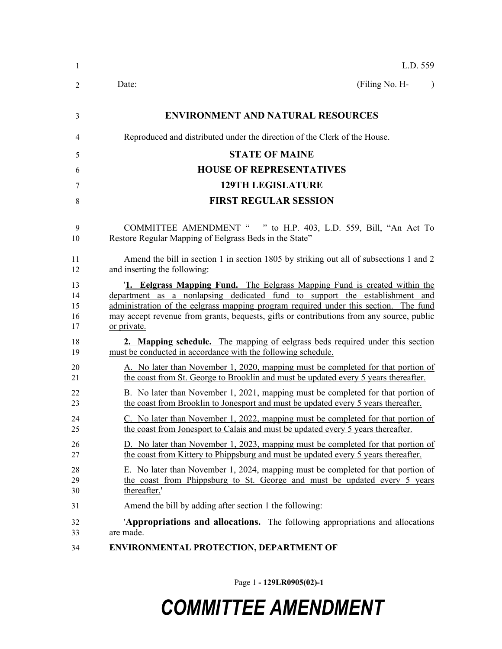| 1              | L.D. 559                                                                                 |
|----------------|------------------------------------------------------------------------------------------|
| $\overline{2}$ | (Filing No. H-<br>Date:                                                                  |
| 3              | <b>ENVIRONMENT AND NATURAL RESOURCES</b>                                                 |
| 4              | Reproduced and distributed under the direction of the Clerk of the House.                |
| 5              | <b>STATE OF MAINE</b>                                                                    |
| 6              | <b>HOUSE OF REPRESENTATIVES</b>                                                          |
| 7              | <b>129TH LEGISLATURE</b>                                                                 |
| 8              | <b>FIRST REGULAR SESSION</b>                                                             |
| 9              | COMMITTEE AMENDMENT " " to H.P. 403, L.D. 559, Bill, "An Act To                          |
| 10             | Restore Regular Mapping of Eelgrass Beds in the State"                                   |
| 11             | Amend the bill in section 1 in section 1805 by striking out all of subsections 1 and 2   |
| 12             | and inserting the following:                                                             |
| 13             | <b>1. Eelgrass Mapping Fund.</b> The Eelgrass Mapping Fund is created within the         |
| 14             | department as a nonlapsing dedicated fund to support the establishment and               |
| 15             | administration of the eelgrass mapping program required under this section. The fund     |
| 16             | may accept revenue from grants, bequests, gifts or contributions from any source, public |
| 17             | or private.                                                                              |
| 18             | 2. Mapping schedule. The mapping of eelgrass beds required under this section            |
| 19             | must be conducted in accordance with the following schedule.                             |
| 20             | A. No later than November 1, 2020, mapping must be completed for that portion of         |
| 21             | the coast from St. George to Brooklin and must be updated every 5 years thereafter.      |
| 22             | B. No later than November 1, 2021, mapping must be completed for that portion of         |
| 23             | the coast from Brooklin to Jonesport and must be updated every 5 years thereafter.       |
| 24             | C. No later than November 1, 2022, mapping must be completed for that portion of         |
| 25             | the coast from Jonesport to Calais and must be updated every 5 years thereafter.         |
| 26             | D. No later than November 1, 2023, mapping must be completed for that portion of         |
| 27             | the coast from Kittery to Phippsburg and must be updated every 5 years thereafter.       |
| 28             | E. No later than November 1, 2024, mapping must be completed for that portion of         |
| 29             | the coast from Phippsburg to St. George and must be updated every 5 years                |
| 30             | thereafter.'                                                                             |
| 31             | Amend the bill by adding after section 1 the following:                                  |
| 32             | 'Appropriations and allocations. The following appropriations and allocations            |
| 33             | are made.                                                                                |
| 34             | <b>ENVIRONMENTAL PROTECTION, DEPARTMENT OF</b>                                           |

Page 1 **- 129LR0905(02)-1**

# *COMMITTEE AMENDMENT*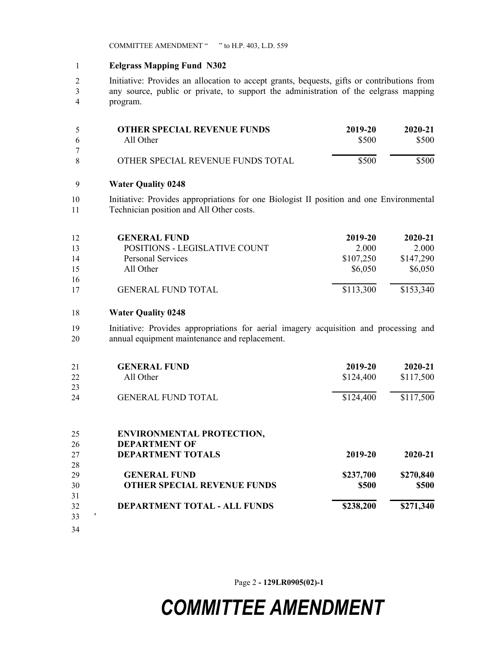COMMITTEE AMENDMENT " " to H.P. 403, L.D. 559

#### **Eelgrass Mapping Fund N302**

 Initiative: Provides an allocation to accept grants, bequests, gifts or contributions from any source, public or private, to support the administration of the eelgrass mapping program.

|    | <b>OTHER SPECIAL REVENUE FUNDS</b> | 2019-20 | 2020-21 |
|----|------------------------------------|---------|---------|
| -6 | All Other                          | \$500   | \$500   |
|    |                                    |         |         |
| -8 | OTHER SPECIAL REVENUE FUNDS TOTAL  | \$500   | \$500   |

#### **Water Quality 0248**

 Initiative: Provides appropriations for one Biologist II position and one Environmental Technician position and All Other costs.

| 12 | <b>GENERAL FUND</b>           | 2019-20   | $2020 - 21$ |
|----|-------------------------------|-----------|-------------|
| 13 | POSITIONS - LEGISLATIVE COUNT | 2.000     | 2.000       |
| 14 | <b>Personal Services</b>      | \$107,250 | \$147,290   |
| 15 | All Other                     | \$6,050   | \$6,050     |
| 16 |                               |           |             |
| 17 | <b>GENERAL FUND TOTAL</b>     | \$113,300 | \$153,340   |

#### **Water Quality 0248**

 Initiative: Provides appropriations for aerial imagery acquisition and processing and annual equipment maintenance and replacement.

| 21      | <b>GENERAL FUND</b>                 | 2019-20   | 2020-21   |
|---------|-------------------------------------|-----------|-----------|
| 22      | All Other                           | \$124,400 | \$117,500 |
| 23      |                                     |           |           |
| 24      | <b>GENERAL FUND TOTAL</b>           | \$124,400 | \$117,500 |
|         |                                     |           |           |
| 25      | <b>ENVIRONMENTAL PROTECTION,</b>    |           |           |
| 26      | <b>DEPARTMENT OF</b>                |           |           |
| 27      | <b>DEPARTMENT TOTALS</b>            | 2019-20   | 2020-21   |
| 28      |                                     |           |           |
| 29      | <b>GENERAL FUND</b>                 | \$237,700 | \$270,840 |
| 30      | <b>OTHER SPECIAL REVENUE FUNDS</b>  | \$500     | \$500     |
| 31      |                                     |           |           |
| 32      | <b>DEPARTMENT TOTAL - ALL FUNDS</b> | \$238,200 | \$271,340 |
| ,<br>33 |                                     |           |           |
| 34      |                                     |           |           |

Page 2 **- 129LR0905(02)-1**

## *COMMITTEE AMENDMENT*